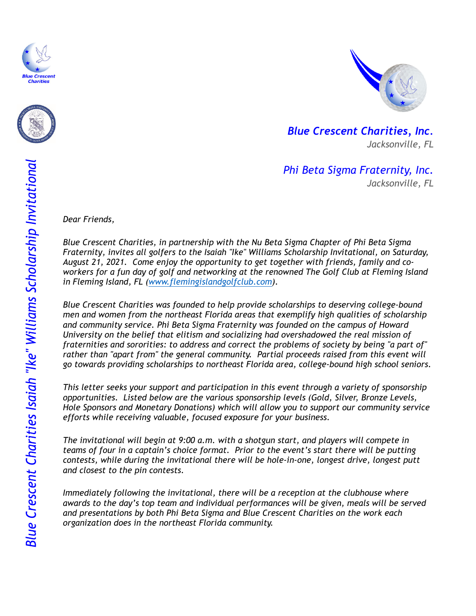





*Blue Crescent Charities, Inc. Jacksonville, FL* 

*Phi Beta Sigma Fraternity, Inc. Jacksonville, FL* 

*Dear Friends,* 

*Blue Crescent Charities, in partnership with the Nu Beta Sigma Chapter of Phi Beta Sigma Fraternity, invites all golfers to the Isaiah "Ike" Williams Scholarship Invitational, on Saturday, August 21, 2021. Come enjoy the opportunity to get together with friends, family and coworkers for a fun day of golf and networking at the renowned The Golf Club at Fleming Island in Fleming Island, FL (www.flemingislandgolfclub.com).* 

*Blue Crescent Charities was founded to help provide scholarships to deserving college-bound men and women from the northeast Florida areas that exemplify high qualities of scholarship and community service. Phi Beta Sigma Fraternity was founded on the campus of Howard University on the belief that elitism and socializing had overshadowed the real mission of fraternities and sororities: to address and correct the problems of society by being "a part of" rather than "apart from" the general community. Partial proceeds raised from this event will go towards providing scholarships to northeast Florida area, college-bound high school seniors.*

*This letter seeks your support and participation in this event through a variety of sponsorship opportunities. Listed below are the various sponsorship levels (Gold, Silver, Bronze Levels, Hole Sponsors and Monetary Donations) which will allow you to support our community service efforts while receiving valuable, focused exposure for your business.*

*The invitational will begin at 9:00 a.m. with a shotgun start, and players will compete in teams of four in a captain's choice format. Prior to the event's start there will be putting contests, while during the invitational there will be hole-in-one, longest drive, longest putt and closest to the pin contests.*

*Immediately following the invitational, there will be a reception at the clubhouse where awards to the day's top team and individual performances will be given, meals will be served and presentations by both Phi Beta Sigma and Blue Crescent Charities on the work each organization does in the northeast Florida community.*